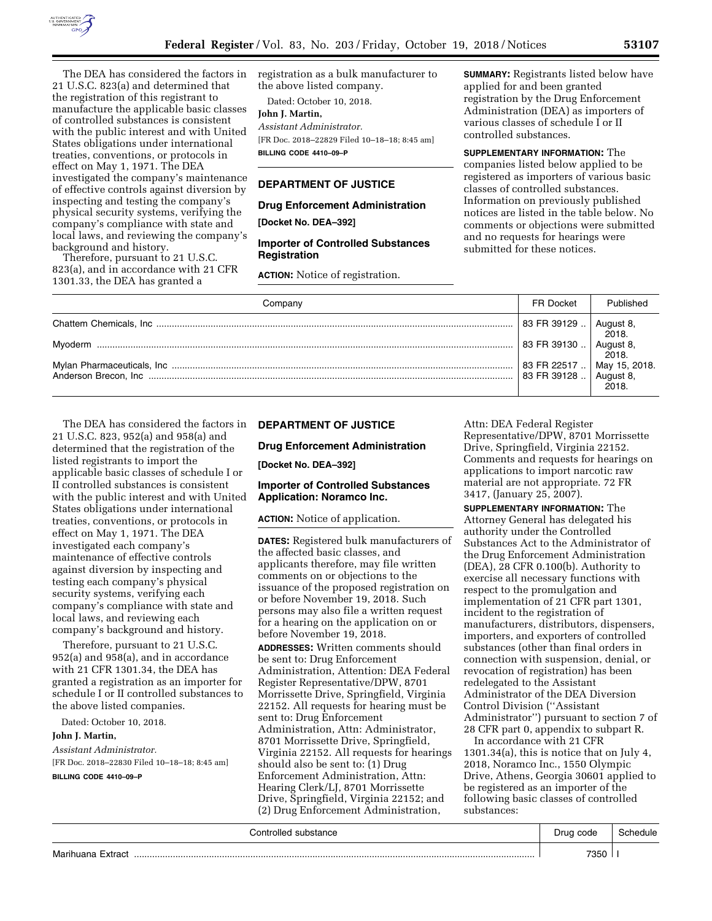

The DEA has considered the factors in 21 U.S.C. 823(a) and determined that the registration of this registrant to manufacture the applicable basic classes of controlled substances is consistent with the public interest and with United States obligations under international treaties, conventions, or protocols in effect on May 1, 1971. The DEA investigated the company's maintenance of effective controls against diversion by inspecting and testing the company's physical security systems, verifying the company's compliance with state and local laws, and reviewing the company's

background and history. Therefore, pursuant to 21 U.S.C. 823(a), and in accordance with 21 CFR 1301.33, the DEA has granted a

registration as a bulk manufacturer to the above listed company.

Dated: October 10, 2018.

**John J. Martin,**  *Assistant Administrator.*  [FR Doc. 2018–22829 Filed 10–18–18; 8:45 am] **BILLING CODE 4410–09–P** 

# **DEPARTMENT OF JUSTICE**

#### **Drug Enforcement Administration**

**[Docket No. DEA–392]** 

# **Importer of Controlled Substances Registration**

**ACTION:** Notice of registration.

**SUMMARY:** Registrants listed below have applied for and been granted registration by the Drug Enforcement Administration (DEA) as importers of various classes of schedule I or II controlled substances.

**SUPPLEMENTARY INFORMATION:** The companies listed below applied to be registered as importers of various basic classes of controlled substances. Information on previously published notices are listed in the table below. No comments or objections were submitted and no requests for hearings were submitted for these notices.

| Company | <b>FR Docket</b>                                              | Published          |
|---------|---------------------------------------------------------------|--------------------|
|         | $\mid$ 83 FR 39129 $\ldots$ $\mid$                            | August 8,<br>2018. |
|         | 83 FR 39130                                                   | August 8,<br>2018. |
|         | 83 FR 22517  May 15, 2018.<br>83 FR 39128  August 8,<br>2018. |                    |

The DEA has considered the factors in 21 U.S.C. 823, 952(a) and 958(a) and determined that the registration of the listed registrants to import the applicable basic classes of schedule I or II controlled substances is consistent with the public interest and with United States obligations under international treaties, conventions, or protocols in effect on May 1, 1971. The DEA investigated each company's maintenance of effective controls against diversion by inspecting and testing each company's physical security systems, verifying each company's compliance with state and local laws, and reviewing each company's background and history.

Therefore, pursuant to 21 U.S.C. 952(a) and 958(a), and in accordance with 21 CFR 1301.34, the DEA has granted a registration as an importer for schedule I or II controlled substances to the above listed companies.

Dated: October 10, 2018.

### **John J. Martin,**

*Assistant Administrator.* 

[FR Doc. 2018–22830 Filed 10–18–18; 8:45 am]

#### **BILLING CODE 4410–09–P**

#### **DEPARTMENT OF JUSTICE**

### **Drug Enforcement Administration**

**[Docket No. DEA–392]** 

# **Importer of Controlled Substances Application: Noramco Inc.**

**ACTION:** Notice of application.

**DATES:** Registered bulk manufacturers of the affected basic classes, and applicants therefore, may file written comments on or objections to the issuance of the proposed registration on or before November 19, 2018. Such persons may also file a written request for a hearing on the application on or before November 19, 2018.

**ADDRESSES:** Written comments should be sent to: Drug Enforcement Administration, Attention: DEA Federal Register Representative/DPW, 8701 Morrissette Drive, Springfield, Virginia 22152. All requests for hearing must be sent to: Drug Enforcement Administration, Attn: Administrator, 8701 Morrissette Drive, Springfield, Virginia 22152. All requests for hearings should also be sent to: (1) Drug Enforcement Administration, Attn: Hearing Clerk/LJ, 8701 Morrissette Drive, Springfield, Virginia 22152; and (2) Drug Enforcement Administration,

Attn: DEA Federal Register Representative/DPW, 8701 Morrissette Drive, Springfield, Virginia 22152. Comments and requests for hearings on applications to import narcotic raw material are not appropriate. 72 FR 3417, (January 25, 2007).

**SUPPLEMENTARY INFORMATION:** The Attorney General has delegated his authority under the Controlled Substances Act to the Administrator of the Drug Enforcement Administration (DEA), 28 CFR 0.100(b). Authority to exercise all necessary functions with respect to the promulgation and implementation of 21 CFR part 1301, incident to the registration of manufacturers, distributors, dispensers, importers, and exporters of controlled substances (other than final orders in connection with suspension, denial, or revocation of registration) has been redelegated to the Assistant Administrator of the DEA Diversion Control Division (''Assistant Administrator'') pursuant to section 7 of 28 CFR part 0, appendix to subpart R.

In accordance with 21 CFR 1301.34(a), this is notice that on July 4, 2018, Noramco Inc., 1550 Olympic Drive, Athens, Georgia 30601 applied to be registered as an importer of the following basic classes of controlled substances:

| Controlled substance | Drug code | schedule |
|----------------------|-----------|----------|
| Marihuana Extract    | 7350      |          |